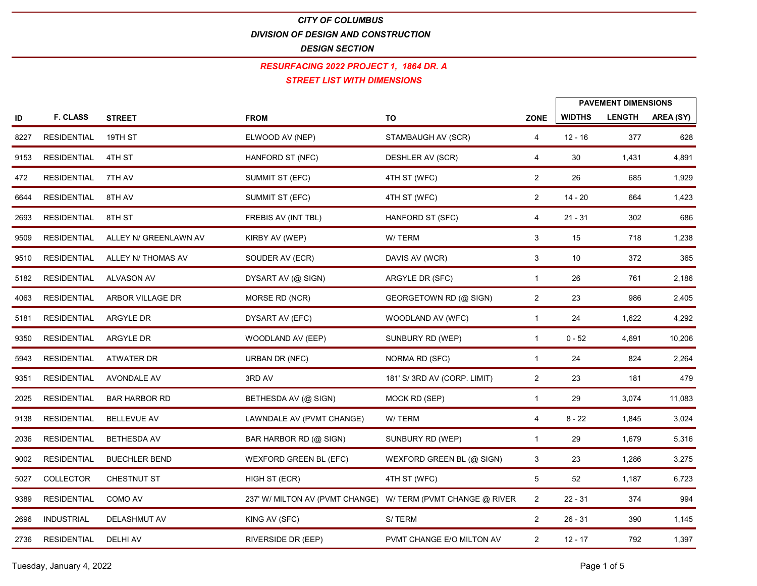## CITY OF COLUMBUS

DIVISION OF DESIGN AND CONSTRUCTION

DESIGN SECTION

#### STREET LIST WITH DIMENSIONS RESURFACING 2022 PROJECT 1, 1864 DR. A

CITY OF COLUMBUS<br>
DIVISION OF DESIGN SECTION<br>
DISIGN SECTION<br>
RESURFACING 2022 PROJECT 1, 1864 DR. A<br>
STREET LIST WITH DIMENSIONS<br>
TO DISIGN SECTION<br>
PAVEMENT DIMENSIONS<br>
PAVEMENT DIMENSIONS<br>
PAVEMENT DIMENSIONS<br>
PAVEMENT CITY OF COLUMBUS<br>
DIVISION OF DESIGN SECTION<br>
DESIGN SECTION<br>
RESURFACING 2022 PROJECT 1, 1864 DR. A<br>
STREET LIST WITH DIMENSIONS<br>
F. CLASS STREET<br>
FROM TO ZONE WIDTHS LENGTH AREA (SY)<br>
SIDENTIAL 19TH ST ELWOOD AV (NEP) ST PAVEMENT DIMENSIONS EXERCISE OF COLUMBUS<br>
BESIGN SECTION<br>
BESIGN SECTION<br>
RESULTATION CONSTRUCTION<br>
RESULTATION<br>
BESIGN STREET<br>
STAMBAUGH AV (SCR) 2 DESIDENTIAL 4 171-51<br>
RESULTATION<br>
RESULTATION<br>
RESULTATION<br>
RESULTATION<br>
RESULTATION<br>
RESULT CITY OF COLUMBUS<br>
DIMISION OF DESIGN SECTION<br>
BESIGN SECTION<br>
RESURENT AND DESIGN STREET LIST WITH DIMIENSIONS<br>
STREET IST (NTEP INSTRIMENTSIONS)<br>
PAVEMENT DIMENSIONS<br>
PAVEMENT DIMENSIONS<br>
PAVEMENT DIMENSIONS<br>
PAVEMENT DIM CITY OF COLUMBUS<br>
DESIGN SECTION<br>
DESIGN SECTION<br>
FESUARANG 2022 PROJECT 1, 1864 DR. A<br>
STREET UST WITH DIMENSIONS<br>
TRESIDENTIAL 19TH ST<br>
TROM<br>
TRESIDENTIAL 4TH ST<br>
TROM TRESIDENTIAL 4TH ST<br>
TROM AV SUMMIT ST (EFC) ATH ST CHYOF COLUMBUS<br>
ENVISON OF DESIGN AND CONSTRUCTION<br>
FRESUREACING 2022 PROJECT 1, 1964 DR. A<br>
SERVENT DIMENSIONS<br>
ID F. CLASS STREET<br>
RESURENTIAL 4TH ST FROM TO ZONE (WITH DIMENSIONS<br>
RESURENTIAL 2 14 - 20 664 1,423<br>
RESURE 2693 8TH ST FREBIS AV (INT TBL) HANFORD ST (SFC) RESIDENTIAL 4 21 - 31 302 686 9509 ALLEY N/ GREENLAWN AV KIRBY AV (WEP) W/ TERM RESIDENTIAL 3 15 718 1,238 9510 ALLEY N/ THOMAS AV SOUDER AV (ECR) DAVIS AV (WCR) RESIDENTIAL 3 10 372 365 5182 ALVASON AV DYSART AV (@ SIGN) ARGYLE DR (SFC) RESIDENTIAL 1 26 761 2,186 **ESURFACING 2022 PROJECT1, 1964 OR A<br>
400 F. CLASS STREET FROM THE LEVYOOD AVIVEP) CONFIDENTIAL ENDITHS LENGTH AREA (SY)<br>
4227 RESIDENTIAL 1971-197<br>
4237 RESIDENTIAL 1971-197<br>
423 RESIDENTIAL 471-197<br>
423 RESIDENTIAL 471-**5181 ARGYLE DR DYSART AV (EFC) WOODLAND AV (WFC) RESIDENTIAL 1 24 1,622 4,292 939 ARGENTER MANAGON ARGYLE DR WOODLAND AV (SCR) ARGENTER (WEP) ARGENTS ARGENT AND CONSIDENTIAL ARGY ARGENTS ARGENTS (SCR) A SUMMATTER (SCR) CONSIDER AV (SCR) 4 - 52 4,420 1044 1423<br>1935 ARGINENTIAL THISTY (MANAGON SUMMAT 59 P. CLASS STREET FROM TO 2001E WIDDING AREA (SP)<br>
5927 RESIDENTIAL 43THAT FIVE INVOLVEMENT (MARROPOLYST (PDF) STAMBAUGHAV (SCR) 4 02.16 377 028<br>
5943 RESIDENTIAL THIAY SUMMITTERED (THIST (WPC) 2 38 685 1,229<br>
5944 RESID 8327 RESIDENTIAL 19THST<br>
937 RESIDENTIAL 19THST<br>
937 RESIDENTIAL 19THST<br>
937 RESIDENTIAL 19THST<br>
937 AVONDALE AVONDALE AVOND SUMMITST(BPC) (DESHIFRING(GR) 4 30 1431 4780<br>
9381 RESIDENTIAL ETHAN SUMMITST(BPC) (THIST(WPC) 2155 BRSIDENTAL 4THIST (MANFORD BTINET ) DESIMERAVISOR) 4 30 1431 4481<br>2022 BRSIDENTAL ZTHAV SUMMITSTEFC) 4THISTWOOD 2 26 200 11,000<br>2025 BRSIDENTAL ETHIST FUNCTION (MISSION MOTTEL) FINANTORD BTINCT 2 14-20 200 2025<br>2025 473 BESIDENTAL 7THAY SUMMITST(EC) 4THST(WFC) 2 2 8 865 1,529<br>
8194 RESIDENTAL STHAY SUMMITST(EC) 4THST(WFC) 2 14.20<br>
895 RESIDENTAL ALLEY NICHOLANN W/ RESIDENT HARPOVES (PVIT ANY CHANGE)<br>
895 RESIDENTAL ALLEY NICHOLANS A 2044 BESIDENTIAL CITLAY SUMMITTICEC) 4THIST(WFC) 2 14-22 064 1423<br>2037 BESIDENTIAL ALLEY N'OREENLAWNIAY SIMPLETIAL HANSFORDST/SEC) 4 21-31 322 000<br>2037 BESIDENTIAL ALLEY N'OREENLAWNIAY SUMMITTICE(WEP) WITHOUT SURVEY (STAG 2003 BESIDENTAL CITIES (A STRED AVENTION) MATERIAL MATERIAL CHARGE (STRED 4 21.51 302 268<br>
9910 BESIDENTAL ALIEV N'HOMAS AV SUOVEN (PEP) WITERM (WERE ANY WORTHOUT 3 10 372 36<br>
9910 BESIDENTAL ALVASON WAS SUON DARRER (SIGN 5629 RESIDENTAL ALLEY IN-GREENLAWN KIRDY AV (WEP) WYTERM (S. 1718 1208<br>1501 RESIDENTAL ALLEY IN THOMAS AV SOUDER AV (FCR) DANS AV (WCR) 3 10 372 306<br>1512 RESIDENTAL ARGON LILACEDR (SYSTAV (RESIDENTAL ARGON COLLECTOR MICHA 9389 COMO AV 237' W/ MILTON AV (PVMT CHANGE) W/ TERM (PVMT CHANGE @ RIVER RESIDENTIAL 2 22 - 31 374 994 2692 RESIDENTAL ALVASON AV CONSERVER CRISTICAL CRISTICAL CRISTICAL CRISTICAL CRISTICAL CRISTICAL CRISTICAL CRISTICAL CRISTICAL CRISTICAL CRISTICAL CRISTICAL CRISTICAL CRISTICAL CRISTICAL CRISTICAL CRISTICAL CRISTICAL CRIS 2736 DESIDENTIAL ARBOR VILLAGE DR<br>
2736 DESIDENTIAL ARGYLE DR<br>
2743 DESIDENTIAL ARGYLE DR<br>
2843 DESIDENTIAL ARGYLE DR (COMINAL DR (COMINAL DR (COMINAL DR (COMINAL DR (COMINAL DR (COMINAL DR (2 2 2 2 4 2 2 2 4 2 2 2 4 2 2 2 1981 RESIDENTIAL AROYLEOR DYSARTAVIEFO, WOODLANDAVIWTC) 1 24 1,622 4,232<br>
1993 RESIDENTIAL ARVITERIDR WOODLANDAVIVE PSUMMARIOR<br>
1993 RESIDENTIAL ATWATERIDR UDRIANIDRIKY, SWOWN RD. (SFC) 1 24 4,024 4,232<br>
1993 RESIDENTIAL A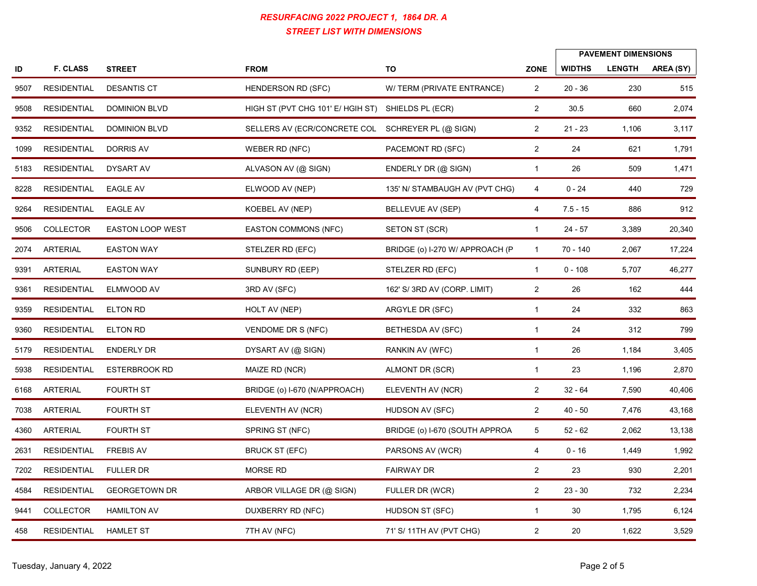|            |                    |                      | RESURFACING 2022 PROJECT 1, 1864 DR. A<br><b>STREET LIST WITH DIMENSIONS</b> |                                 |                                  |               |                                             |           |
|------------|--------------------|----------------------|------------------------------------------------------------------------------|---------------------------------|----------------------------------|---------------|---------------------------------------------|-----------|
|            | <b>F. CLASS</b>    | <b>STREET</b>        | <b>FROM</b>                                                                  | TO                              | <b>ZONE</b>                      | <b>WIDTHS</b> | <b>PAVEMENT DIMENSIONS</b><br><b>LENGTH</b> | AREA (SY) |
| ID<br>9507 | RESIDENTIAL        | <b>DESANTIS CT</b>   | HENDERSON RD (SFC)                                                           | W/ TERM (PRIVATE ENTRANCE)      |                                  | $20 - 36$     |                                             | 515       |
| 9508       | <b>RESIDENTIAL</b> | <b>DOMINION BLVD</b> | HIGH ST (PVT CHG 101' E/ HGIH ST) SHIELDS PL (ECR)                           |                                 | $\overline{2}$<br>$\overline{2}$ | 30.5          | 230<br>660                                  | 2,074     |
|            |                    |                      |                                                                              |                                 |                                  |               |                                             |           |
|            | 9352 RESIDENTIAL   | <b>DOMINION BLVD</b> | SELLERS AV (ECR/CONCRETE COL SCHREYER PL (@ SIGN)                            |                                 | $\overline{2}$                   | $21 - 23$     | 1,106                                       | 3,117     |
| 1099       | <b>RESIDENTIAL</b> | <b>DORRIS AV</b>     | WEBER RD (NFC)                                                               | PACEMONT RD (SFC)               | $\overline{2}$                   | 24            | 621                                         | 1,791     |
|            | 5183 RESIDENTIAL   | DYSART AV            | ALVASON AV (@ SIGN)                                                          | ENDERLY DR (@ SIGN)             | $\overline{1}$                   | 26            | 509                                         | 1,471     |
| 8228       | RESIDENTIAL        | <b>EAGLE AV</b>      | ELWOOD AV (NEP)                                                              | 135' N/ STAMBAUGH AV (PVT CHG)  | 4                                | $0 - 24$      | 440                                         | 729       |
| 9264       | RESIDENTIAL        | <b>EAGLE AV</b>      | KOEBEL AV (NEP)                                                              | BELLEVUE AV (SEP)               | 4                                | 7.5 - 15      | 886                                         | 912       |
|            | 9506 COLLECTOR     | EASTON LOOP WEST     | <b>EASTON COMMONS (NFC)</b>                                                  | SETON ST (SCR)                  |                                  | $24 - 57$     | 3,389                                       | 20,340    |
|            | 2074 ARTERIAL      | <b>EASTON WAY</b>    | STELZER RD (EFC)                                                             | BRIDGE (o) I-270 W/ APPROACH (P |                                  | 70 - 140      | 2,067                                       | 17,224    |
|            | 9391 ARTERIAL      | <b>EASTON WAY</b>    | SUNBURY RD (EEP)                                                             | STELZER RD (EFC)                | $\overline{1}$                   | $0 - 108$     | 5,707                                       | 46,277    |
| 9361       | RESIDENTIAL        | ELMWOOD AV           | 3RD AV (SFC)                                                                 | 162' S/ 3RD AV (CORP. LIMIT)    | $\overline{2}$                   | 26            | 162                                         | 444       |
| 9359       | RESIDENTIAL        | <b>ELTON RD</b>      | HOLT AV (NEP)                                                                | ARGYLE DR (SFC)                 | $\mathbf{1}$                     | 24            | 332                                         | 863       |
| 9360       | <b>RESIDENTIAL</b> | <b>ELTON RD</b>      | VENDOME DR S (NFC)                                                           | BETHESDA AV (SFC)               | -1                               | 24            | 312                                         | 799       |
| 5179       | RESIDENTIAL        | <b>ENDERLY DR</b>    | DYSART AV (@ SIGN)                                                           | RANKIN AV (WFC)                 | $\overline{1}$                   | 26            | 1,184                                       | 3,405     |
|            | 5938 RESIDENTIAL   | ESTERBROOK RD        | MAIZE RD (NCR)                                                               | ALMONT DR (SCR)                 | $\mathbf{1}$                     | 23            | 1,196                                       | 2,870     |
|            | 6168 ARTERIAL      | FOURTH ST            | BRIDGE (o) I-670 (N/APPROACH)                                                | ELEVENTH AV (NCR)               | $\overline{2}$                   | $32 - 64$     | 7,590                                       | 40,406    |
|            | 7038 ARTERIAL      | FOURTH ST            | ELEVENTH AV (NCR)                                                            | HUDSON AV (SFC)                 | $\overline{2}$                   | $40 - 50$     | 7,476                                       | 43,168    |
|            | 4360 ARTERIAL      | <b>FOURTH ST</b>     | SPRING ST (NFC)                                                              | BRIDGE (o) I-670 (SOUTH APPROA  | $5\overline{)}$                  | $52 - 62$     | 2,062                                       | 13,138    |
|            | 2631 RESIDENTIAL   | <b>FREBIS AV</b>     | <b>BRUCK ST (EFC)</b>                                                        | PARSONS AV (WCR)                | 4                                | $0 - 16$      | 1,449                                       | 1,992     |
|            | 7202 RESIDENTIAL   | <b>FULLER DR</b>     | MORSE RD                                                                     | <b>FAIRWAY DR</b>               | $\overline{2}$                   | 23            | 930                                         | 2,201     |
| 4584       | RESIDENTIAL        | <b>GEORGETOWN DR</b> | ARBOR VILLAGE DR (@ SIGN)                                                    | FULLER DR (WCR)                 | $\overline{2}$                   | $23 - 30$     | 732                                         | 2,234     |
|            | 9441 COLLECTOR     | <b>HAMILTON AV</b>   | DUXBERRY RD (NFC)                                                            | HUDSON ST (SFC)                 | $\mathbf{1}$                     | 30            | 1,795                                       | 6,124     |
| 458        | RESIDENTIAL        | <b>HAMLET ST</b>     | 7TH AV (NFC)                                                                 | 71' S/ 11TH AV (PVT CHG)        | $\overline{2}$                   | 20            | 1,622                                       | 3,529     |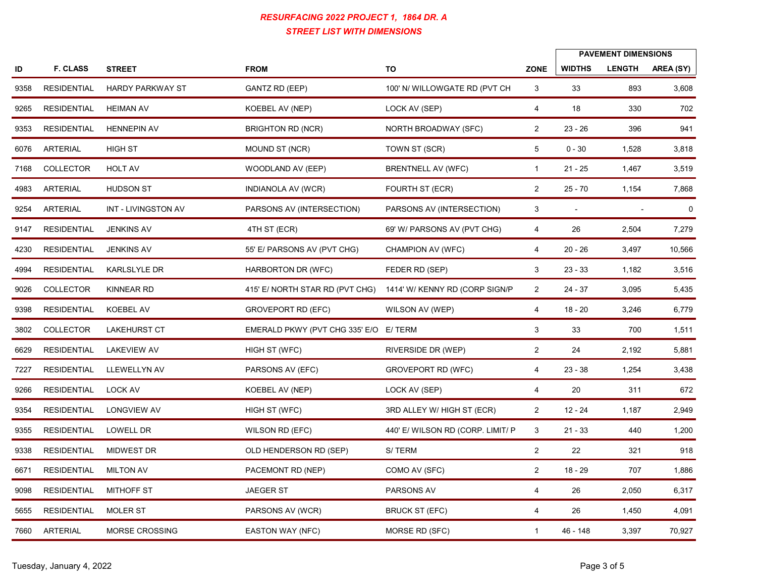|      |                  |                               | RESURFACING 2022 PROJECT 1, 1864 DR. A<br><b>STREET LIST WITH DIMENSIONS</b> |                                   |                |                          |                            |             |
|------|------------------|-------------------------------|------------------------------------------------------------------------------|-----------------------------------|----------------|--------------------------|----------------------------|-------------|
|      |                  |                               |                                                                              |                                   |                |                          | <b>PAVEMENT DIMENSIONS</b> |             |
| ID   | <b>F. CLASS</b>  | <b>STREET</b>                 | <b>FROM</b>                                                                  | TO                                | <b>ZONE</b>    | <b>WIDTHS</b>            | <b>LENGTH</b>              | AREA (SY)   |
| 9358 | RESIDENTIAL      | <b>HARDY PARKWAY ST</b>       | <b>GANTZ RD (EEP)</b>                                                        | 100' N/ WILLOWGATE RD (PVT CH     | $\mathbf{3}$   | 33                       | 893                        | 3,608       |
|      | 9265 RESIDENTIAL | <b>HEIMAN AV</b>              | KOEBEL AV (NEP)                                                              | LOCK AV (SEP)                     | $\overline{4}$ | 18                       | 330                        | 702         |
|      | 9353 RESIDENTIAL | <b>HENNEPIN AV</b>            | <b>BRIGHTON RD (NCR)</b>                                                     | NORTH BROADWAY (SFC)              | $\overline{2}$ | $23 - 26$                | 396                        | 941         |
|      | 6076 ARTERIAL    | <b>HIGH ST</b>                | MOUND ST (NCR)                                                               | TOWN ST (SCR)                     | 5              | $0 - 30$                 | 1,528                      | 3,818       |
|      | 7168 COLLECTOR   | <b>HOLT AV</b>                | WOODLAND AV (EEP)                                                            | <b>BRENTNELL AV (WFC)</b>         | $\overline{1}$ | 21 - 25                  | 1,467                      | 3,519       |
|      | 4983 ARTERIAL    | <b>HUDSON ST</b>              | INDIANOLA AV (WCR)                                                           | FOURTH ST (ECR)                   | $\overline{2}$ | $25 - 70$                | 1,154                      | 7,868       |
|      | 9254 ARTERIAL    | INT - LIVINGSTON AV           | PARSONS AV (INTERSECTION)                                                    | PARSONS AV (INTERSECTION)         | $\mathbf{3}$   | $\overline{\phantom{a}}$ |                            | $\mathbf 0$ |
|      | 9147 RESIDENTIAL | <b>JENKINS AV</b>             | 4TH ST (ECR)                                                                 | 69' W/ PARSONS AV (PVT CHG)       | 4              | 26                       | 2,504                      | 7,279       |
|      | 4230 RESIDENTIAL | JENKINS AV                    | 55' E/ PARSONS AV (PVT CHG)                                                  | CHAMPION AV (WFC)                 | 4              | 20 - 26                  | 3,497                      | 10,566      |
|      | 4994 RESIDENTIAL | KARLSLYLE DR                  | HARBORTON DR (WFC)                                                           | FEDER RD (SEP)                    | $\mathbf{3}$   | $23 - 33$                | 1,182                      | 3,516       |
|      | 9026 COLLECTOR   | KINNEAR RD                    | 415' E/ NORTH STAR RD (PVT CHG) 1414' W/ KENNY RD (CORP SIGN/P               |                                   | $\overline{2}$ | 24 - 37                  | 3,095                      | 5,435       |
|      | 9398 RESIDENTIAL | KOEBEL AV                     | GROVEPORT RD (EFC)                                                           | WILSON AV (WEP)                   | 4              | 18 - 20                  | 3,246                      | 6,779       |
|      | 3802 COLLECTOR   | <b>LAKEHURST CT</b>           | EMERALD PKWY (PVT CHG 335' E/O E/ TERM                                       |                                   | $\mathbf{3}$   | 33                       | 700                        | 1,511       |
|      | 6629 RESIDENTIAL | <b>LAKEVIEW AV</b>            | HIGH ST (WFC)                                                                | RIVERSIDE DR (WEP)                | $\overline{2}$ | 24                       | 2,192                      | 5,881       |
|      |                  | 7227 RESIDENTIAL LLEWELLYN AV | PARSONS AV (EFC)                                                             | <b>GROVEPORT RD (WFC)</b>         | 4              | $23 - 38$                | 1,254                      | 3,438       |
|      | 9266 RESIDENTIAL | <b>LOCK AV</b>                | KOEBEL AV (NEP)                                                              | LOCK AV (SEP)                     | $\overline{4}$ | 20                       | 311                        | 672         |
|      | 9354 RESIDENTIAL | LONGVIEW AV                   | HIGH ST (WFC)                                                                | 3RD ALLEY W/ HIGH ST (ECR)        | $\overline{2}$ | 12 - 24                  | 1,187                      | 2,949       |
|      |                  |                               |                                                                              |                                   |                |                          |                            |             |
|      | 9355 RESIDENTIAL | LOWELL DR                     | WILSON RD (EFC)                                                              | 440' E/ WILSON RD (CORP. LIMIT/ P | $\mathbf{3}$   | $21 - 33$                | 440                        | 1,200       |
|      | 9338 RESIDENTIAL | MIDWEST DR                    | OLD HENDERSON RD (SEP)                                                       | S/TERM                            | $\overline{2}$ | 22                       | 321                        | 918         |
|      | 6671 RESIDENTIAL | <b>MILTON AV</b>              | PACEMONT RD (NEP)                                                            | COMO AV (SFC)                     | $\overline{2}$ | 18 - 29                  | 707                        | 1,886       |
|      | 9098 RESIDENTIAL | <b>MITHOFF ST</b>             | JAEGER ST                                                                    | PARSONS AV                        | 4              | 26                       | 2,050                      | 6,317       |
|      | 5655 RESIDENTIAL | <b>MOLER ST</b>               | PARSONS AV (WCR)                                                             | <b>BRUCK ST (EFC)</b>             | 4              | 26                       | 1,450                      | 4,091       |
|      | 7660 ARTERIAL    | MORSE CROSSING                | EASTON WAY (NFC)                                                             | MORSE RD (SFC)                    | $\mathbf{1}$   | 46 - 148                 | 3,397                      | 70,927      |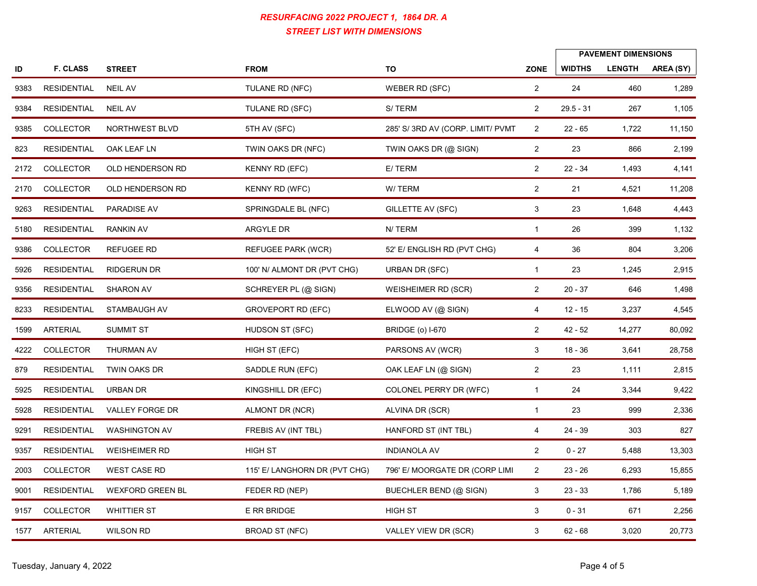|      |                    |                      | RESURFACING 2022 PROJECT 1, 1864 DR. A<br><b>STREET LIST WITH DIMENSIONS</b> |                                   |                |               |                                             |           |
|------|--------------------|----------------------|------------------------------------------------------------------------------|-----------------------------------|----------------|---------------|---------------------------------------------|-----------|
| ID   | <b>F. CLASS</b>    | <b>STREET</b>        | <b>FROM</b>                                                                  | TO                                | <b>ZONE</b>    | <b>WIDTHS</b> | <b>PAVEMENT DIMENSIONS</b><br><b>LENGTH</b> | AREA (SY) |
| 9383 | RESIDENTIAL        | <b>NEIL AV</b>       | TULANE RD (NFC)                                                              | WEBER RD (SFC)                    | $\overline{2}$ | 24            | 460                                         | 1,289     |
| 9384 | <b>RESIDENTIAL</b> | <b>NEIL AV</b>       | TULANE RD (SFC)                                                              | S/TERM                            | $\overline{2}$ | $29.5 - 31$   | 267                                         | 1,105     |
| 9385 | COLLECTOR          | NORTHWEST BLVD       | 5TH AV (SFC)                                                                 | 285' S/ 3RD AV (CORP. LIMIT/ PVMT | $\overline{2}$ | $22 - 65$     | 1,722                                       | 11,150    |
| 823  | <b>RESIDENTIAL</b> | OAK LEAF LN          | TWIN OAKS DR (NFC)                                                           | TWIN OAKS DR (@ SIGN)             | $\overline{2}$ | 23            | 866                                         | 2,199     |
|      | 2172 COLLECTOR     | OLD HENDERSON RD     | KENNY RD (EFC)                                                               | E/TERM                            | $\overline{2}$ | $22 - 34$     | 1,493                                       | 4,141     |
|      | 2170 COLLECTOR     | OLD HENDERSON RD     | <b>KENNY RD (WFC)</b>                                                        | W/TERM                            | $\overline{2}$ | 21            | 4,521                                       | 11,208    |
|      | 9263 RESIDENTIAL   | PARADISE AV          | SPRINGDALE BL (NFC)                                                          | <b>GILLETTE AV (SFC)</b>          | 3              | 23            | 1,648                                       | 4,443     |
|      | 5180 RESIDENTIAL   | <b>RANKIN AV</b>     | ARGYLE DR                                                                    | N/TERM                            | $\mathbf{1}$   | 26            | 399                                         | 1,132     |
| 9386 | COLLECTOR          | REFUGEE RD           | REFUGEE PARK (WCR)                                                           | 52' E/ ENGLISH RD (PVT CHG)       | 4              | 36            | 804                                         | 3,206     |
| 5926 | <b>RESIDENTIAL</b> | RIDGERUN DR          | 100' N/ ALMONT DR (PVT CHG)                                                  | URBAN DR (SFC)                    | $\overline{1}$ | 23            | 1,245                                       | 2,915     |
|      | 9356 RESIDENTIAL   | <b>SHARON AV</b>     | SCHREYER PL (@ SIGN)                                                         | WEISHEIMER RD (SCR)               | $\overline{2}$ | $20 - 37$     | 646                                         | 1,498     |
| 8233 | <b>RESIDENTIAL</b> | STAMBAUGH AV         | <b>GROVEPORT RD (EFC)</b>                                                    | ELWOOD AV (@ SIGN)                | 4              | $12 - 15$     | 3,237                                       | 4,545     |
|      | 1599 ARTERIAL      | SUMMIT ST            | HUDSON ST (SFC)                                                              |                                   |                | $42 - 52$     |                                             |           |
|      | COLLECTOR          |                      |                                                                              | <b>BRIDGE (o) I-670</b>           | $\overline{2}$ |               | 14,277                                      | 80,092    |
| 4222 |                    | THURMAN AV           | HIGH ST (EFC)                                                                | PARSONS AV (WCR)                  | $\mathbf{3}$   | 18 - 36       | 3,641                                       | 28,758    |
| 879  | RESIDENTIAL        | TWIN OAKS DR         | SADDLE RUN (EFC)                                                             | OAK LEAF LN (@ SIGN)              | $\overline{2}$ | 23            | 1,111                                       | 2,815     |
| 5925 | RESIDENTIAL        | URBAN DR             | KINGSHILL DR (EFC)                                                           | COLONEL PERRY DR (WFC)            | $\overline{1}$ | 24            | 3,344                                       | 9,422     |
| 5928 | RESIDENTIAL        | VALLEY FORGE DR      | ALMONT DR (NCR)                                                              | ALVINA DR (SCR)                   | $\overline{1}$ | 23            | 999                                         | 2,336     |
| 9291 | RESIDENTIAL        | <b>WASHINGTON AV</b> | FREBIS AV (INT TBL)                                                          | HANFORD ST (INT TBL)              | 4              | 24 - 39       | 303                                         | 827       |
| 9357 | RESIDENTIAL        | WEISHEIMER RD        | <b>HIGH ST</b>                                                               | <b>INDIANOLA AV</b>               | $\overline{2}$ | $0 - 27$      | 5,488                                       | 13,303    |
|      | 2003 COLLECTOR     | <b>WEST CASE RD</b>  | 115' E/ LANGHORN DR (PVT CHG)                                                | 796' E/ MOORGATE DR (CORP LIMI    | $\overline{2}$ | $23 - 26$     | 6,293                                       | 15,855    |
|      | 9001 RESIDENTIAL   | WEXFORD GREEN BL     | FEDER RD (NEP)                                                               | BUECHLER BEND (@ SIGN)            | 3              | $23 - 33$     | 1,786                                       | 5,189     |
|      | 9157 COLLECTOR     | <b>WHITTIER ST</b>   | E RR BRIDGE                                                                  | <b>HIGH ST</b>                    | $\mathbf{3}$   | $0 - 31$      | 671                                         | 2,256     |
|      | 1577 ARTERIAL      | WILSON RD            | <b>BROAD ST (NFC)</b>                                                        | VALLEY VIEW DR (SCR)              | $\mathbf{3}$   | $62 - 68$     | 3,020                                       | 20,773    |